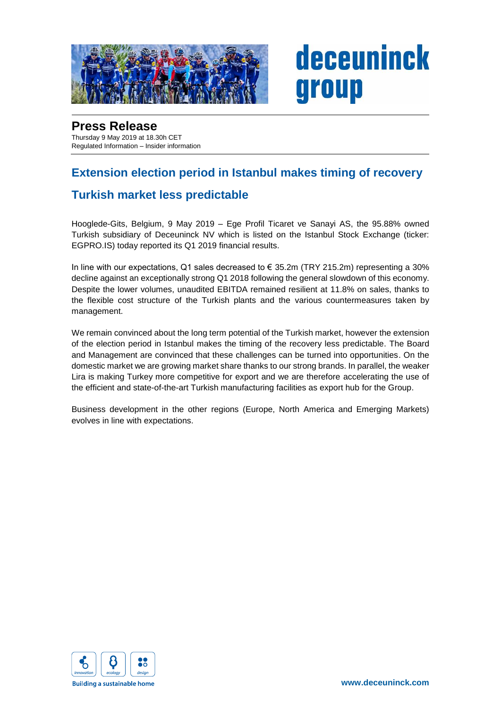

# deceuninck group

## **Press Release**

Thursday 9 May 2019 at 18.30h CET Regulated Information – Insider information

## **Extension election period in Istanbul makes timing of recovery**

#### **Turkish market less predictable**

Hooglede-Gits, Belgium, 9 May 2019 – Ege Profil Ticaret ve Sanayi AS, the 95.88% owned Turkish subsidiary of Deceuninck NV which is listed on the Istanbul Stock Exchange (ticker: EGPRO.IS) today reported its Q1 2019 financial results.

In line with our expectations, Q1 sales decreased to  $\epsilon$  35.2m (TRY 215.2m) representing a 30% decline against an exceptionally strong Q1 2018 following the general slowdown of this economy. Despite the lower volumes, unaudited EBITDA remained resilient at 11.8% on sales, thanks to the flexible cost structure of the Turkish plants and the various countermeasures taken by management.

We remain convinced about the long term potential of the Turkish market, however the extension of the election period in Istanbul makes the timing of the recovery less predictable. The Board and Management are convinced that these challenges can be turned into opportunities. On the domestic market we are growing market share thanks to our strong brands. In parallel, the weaker Lira is making Turkey more competitive for export and we are therefore accelerating the use of the efficient and state-of-the-art Turkish manufacturing facilities as export hub for the Group.

Business development in the other regions (Europe, North America and Emerging Markets) evolves in line with expectations.